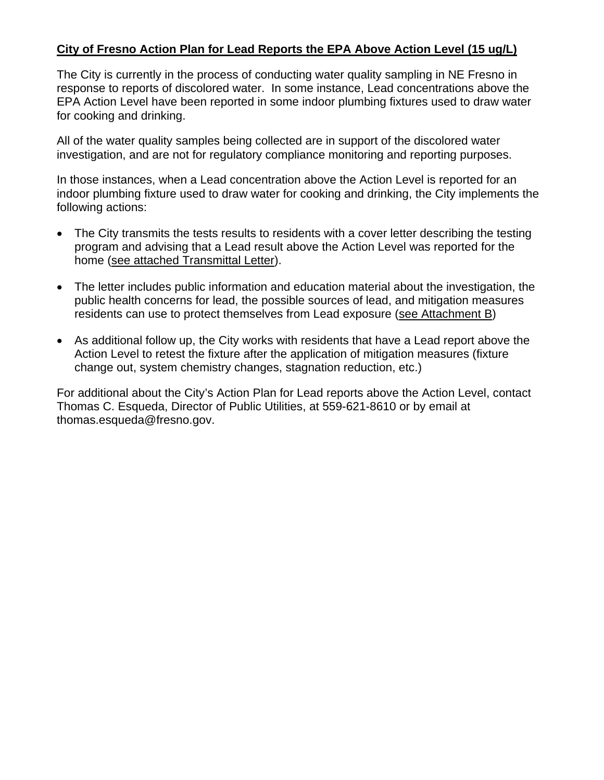### **City of Fresno Action Plan for Lead Reports the EPA Above Action Level (15 ug/L)**

The City is currently in the process of conducting water quality sampling in NE Fresno in response to reports of discolored water. In some instance, Lead concentrations above the EPA Action Level have been reported in some indoor plumbing fixtures used to draw water for cooking and drinking.

All of the water quality samples being collected are in support of the discolored water investigation, and are not for regulatory compliance monitoring and reporting purposes.

In those instances, when a Lead concentration above the Action Level is reported for an indoor plumbing fixture used to draw water for cooking and drinking, the City implements the following actions:

- The City transmits the tests results to residents with a cover letter describing the testing program and advising that a Lead result above the Action Level was reported for the home (see attached Transmittal Letter).
- The letter includes public information and education material about the investigation, the public health concerns for lead, the possible sources of lead, and mitigation measures residents can use to protect themselves from Lead exposure (see Attachment B)
- As additional follow up, the City works with residents that have a Lead report above the Action Level to retest the fixture after the application of mitigation measures (fixture change out, system chemistry changes, stagnation reduction, etc.)

For additional about the City's Action Plan for Lead reports above the Action Level, contact Thomas C. Esqueda, Director of Public Utilities, at 559-621-8610 or by email at thomas.esqueda@fresno.gov.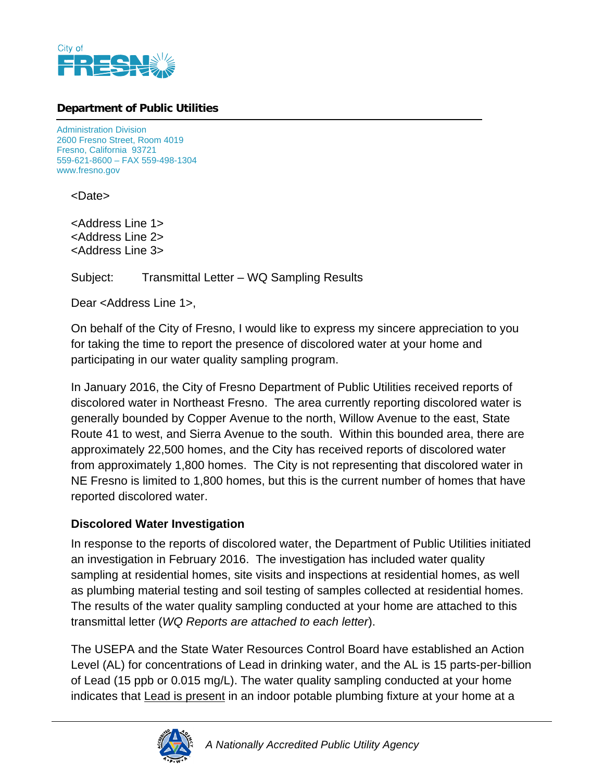

### **Department of Public Utilities**

Administration Division 2600 Fresno Street, Room 4019 Fresno, California 93721 559-621-8600 – FAX 559-498-1304 www.fresno.gov

<Date>

<Address Line 1> <Address Line 2> <Address Line 3>

Subject: Transmittal Letter – WQ Sampling Results

Dear <Address Line 1>,

On behalf of the City of Fresno, I would like to express my sincere appreciation to you for taking the time to report the presence of discolored water at your home and participating in our water quality sampling program.

In January 2016, the City of Fresno Department of Public Utilities received reports of discolored water in Northeast Fresno. The area currently reporting discolored water is generally bounded by Copper Avenue to the north, Willow Avenue to the east, State Route 41 to west, and Sierra Avenue to the south. Within this bounded area, there are approximately 22,500 homes, and the City has received reports of discolored water from approximately 1,800 homes. The City is not representing that discolored water in NE Fresno is limited to 1,800 homes, but this is the current number of homes that have reported discolored water.

### **Discolored Water Investigation**

In response to the reports of discolored water, the Department of Public Utilities initiated an investigation in February 2016. The investigation has included water quality sampling at residential homes, site visits and inspections at residential homes, as well as plumbing material testing and soil testing of samples collected at residential homes. The results of the water quality sampling conducted at your home are attached to this transmittal letter (*WQ Reports are attached to each letter*).

The USEPA and the State Water Resources Control Board have established an Action Level (AL) for concentrations of Lead in drinking water, and the AL is 15 parts-per-billion of Lead (15 ppb or 0.015 mg/L). The water quality sampling conducted at your home indicates that **Lead is present** in an indoor potable plumbing fixture at your home at a

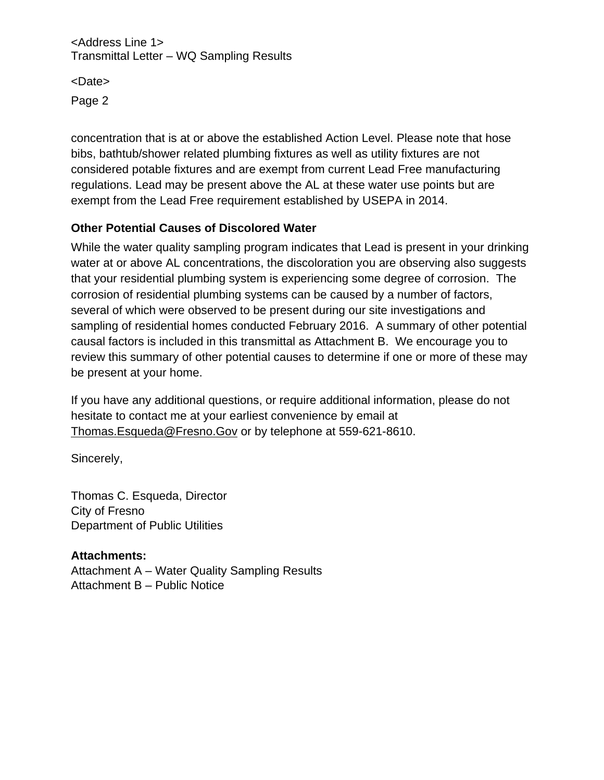<Address Line 1> Transmittal Letter – WQ Sampling Results

<Date> Page 2

concentration that is at or above the established Action Level. Please note that hose bibs, bathtub/shower related plumbing fixtures as well as utility fixtures are not considered potable fixtures and are exempt from current Lead Free manufacturing regulations. Lead may be present above the AL at these water use points but are exempt from the Lead Free requirement established by USEPA in 2014.

### **Other Potential Causes of Discolored Water**

While the water quality sampling program indicates that Lead is present in your drinking water at or above AL concentrations, the discoloration you are observing also suggests that your residential plumbing system is experiencing some degree of corrosion. The corrosion of residential plumbing systems can be caused by a number of factors, several of which were observed to be present during our site investigations and sampling of residential homes conducted February 2016. A summary of other potential causal factors is included in this transmittal as Attachment B. We encourage you to review this summary of other potential causes to determine if one or more of these may be present at your home.

If you have any additional questions, or require additional information, please do not hesitate to contact me at your earliest convenience by email at Thomas.Esqueda@Fresno.Gov or by telephone at 559-621-8610.

Sincerely,

Thomas C. Esqueda, Director City of Fresno Department of Public Utilities

### **Attachments:**

Attachment A – Water Quality Sampling Results Attachment B – Public Notice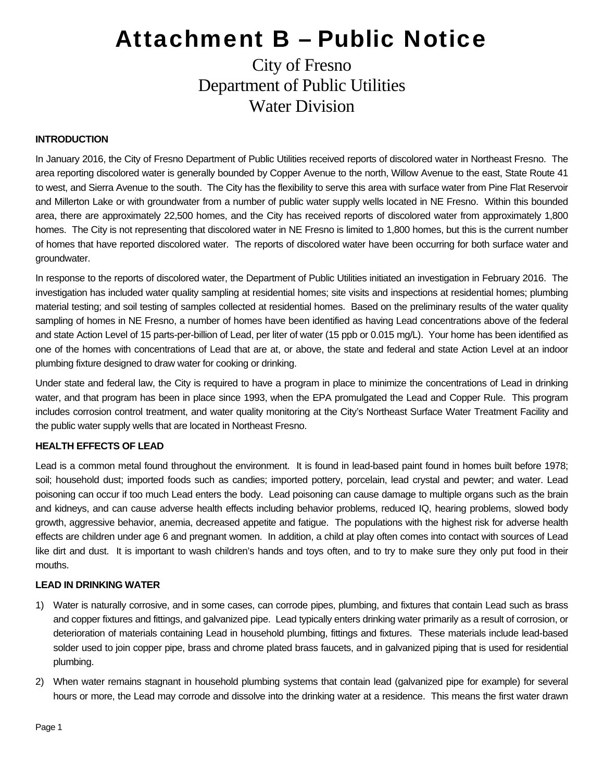## City of Fresno Department of Public Utilities Water Division

#### **INTRODUCTION**

In January 2016, the City of Fresno Department of Public Utilities received reports of discolored water in Northeast Fresno. The area reporting discolored water is generally bounded by Copper Avenue to the north, Willow Avenue to the east, State Route 41 to west, and Sierra Avenue to the south. The City has the flexibility to serve this area with surface water from Pine Flat Reservoir and Millerton Lake or with groundwater from a number of public water supply wells located in NE Fresno. Within this bounded area, there are approximately 22,500 homes, and the City has received reports of discolored water from approximately 1,800 homes. The City is not representing that discolored water in NE Fresno is limited to 1,800 homes, but this is the current number of homes that have reported discolored water. The reports of discolored water have been occurring for both surface water and groundwater.

In response to the reports of discolored water, the Department of Public Utilities initiated an investigation in February 2016. The investigation has included water quality sampling at residential homes; site visits and inspections at residential homes; plumbing material testing; and soil testing of samples collected at residential homes. Based on the preliminary results of the water quality sampling of homes in NE Fresno, a number of homes have been identified as having Lead concentrations above of the federal and state Action Level of 15 parts-per-billion of Lead, per liter of water (15 ppb or 0.015 mg/L). Your home has been identified as one of the homes with concentrations of Lead that are at, or above, the state and federal and state Action Level at an indoor plumbing fixture designed to draw water for cooking or drinking.

Under state and federal law, the City is required to have a program in place to minimize the concentrations of Lead in drinking water, and that program has been in place since 1993, when the EPA promulgated the Lead and Copper Rule. This program includes corrosion control treatment, and water quality monitoring at the City's Northeast Surface Water Treatment Facility and the public water supply wells that are located in Northeast Fresno.

#### **HEALTH EFFECTS OF LEAD**

Lead is a common metal found throughout the environment. It is found in lead-based paint found in homes built before 1978; soil; household dust; imported foods such as candies; imported pottery, porcelain, lead crystal and pewter; and water. Lead poisoning can occur if too much Lead enters the body. Lead poisoning can cause damage to multiple organs such as the brain and kidneys, and can cause adverse health effects including behavior problems, reduced IQ, hearing problems, slowed body growth, aggressive behavior, anemia, decreased appetite and fatigue. The populations with the highest risk for adverse health effects are children under age 6 and pregnant women. In addition, a child at play often comes into contact with sources of Lead like dirt and dust. It is important to wash children's hands and toys often, and to try to make sure they only put food in their mouths.

#### **LEAD IN DRINKING WATER**

- 1) Water is naturally corrosive, and in some cases, can corrode pipes, plumbing, and fixtures that contain Lead such as brass and copper fixtures and fittings, and galvanized pipe. Lead typically enters drinking water primarily as a result of corrosion, or deterioration of materials containing Lead in household plumbing, fittings and fixtures. These materials include lead-based solder used to join copper pipe, brass and chrome plated brass faucets, and in galvanized piping that is used for residential plumbing.
- 2) When water remains stagnant in household plumbing systems that contain lead (galvanized pipe for example) for several hours or more, the Lead may corrode and dissolve into the drinking water at a residence. This means the first water drawn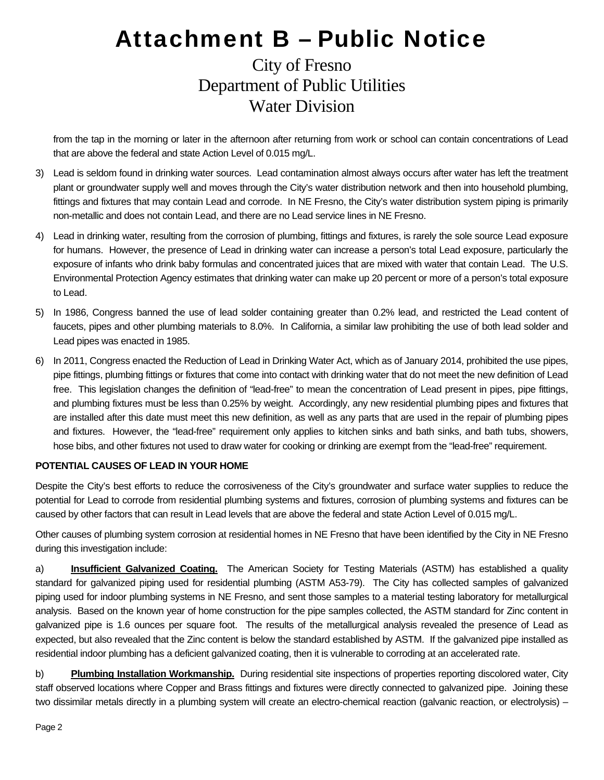## City of Fresno Department of Public Utilities Water Division

from the tap in the morning or later in the afternoon after returning from work or school can contain concentrations of Lead that are above the federal and state Action Level of 0.015 mg/L.

- 3) Lead is seldom found in drinking water sources. Lead contamination almost always occurs after water has left the treatment plant or groundwater supply well and moves through the City's water distribution network and then into household plumbing, fittings and fixtures that may contain Lead and corrode. In NE Fresno, the City's water distribution system piping is primarily non-metallic and does not contain Lead, and there are no Lead service lines in NE Fresno.
- 4) Lead in drinking water, resulting from the corrosion of plumbing, fittings and fixtures, is rarely the sole source Lead exposure for humans. However, the presence of Lead in drinking water can increase a person's total Lead exposure, particularly the exposure of infants who drink baby formulas and concentrated juices that are mixed with water that contain Lead. The U.S. Environmental Protection Agency estimates that drinking water can make up 20 percent or more of a person's total exposure to Lead.
- 5) In 1986, Congress banned the use of lead solder containing greater than 0.2% lead, and restricted the Lead content of faucets, pipes and other plumbing materials to 8.0%. In California, a similar law prohibiting the use of both lead solder and Lead pipes was enacted in 1985.
- 6) In 2011, Congress enacted the Reduction of Lead in Drinking Water Act, which as of January 2014, prohibited the use pipes, pipe fittings, plumbing fittings or fixtures that come into contact with drinking water that do not meet the new definition of Lead free. This legislation changes the definition of "lead-free" to mean the concentration of Lead present in pipes, pipe fittings, and plumbing fixtures must be less than 0.25% by weight. Accordingly, any new residential plumbing pipes and fixtures that are installed after this date must meet this new definition, as well as any parts that are used in the repair of plumbing pipes and fixtures. However, the "lead-free" requirement only applies to kitchen sinks and bath sinks, and bath tubs, showers, hose bibs, and other fixtures not used to draw water for cooking or drinking are exempt from the "lead-free" requirement.

#### **POTENTIAL CAUSES OF LEAD IN YOUR HOME**

Despite the City's best efforts to reduce the corrosiveness of the City's groundwater and surface water supplies to reduce the potential for Lead to corrode from residential plumbing systems and fixtures, corrosion of plumbing systems and fixtures can be caused by other factors that can result in Lead levels that are above the federal and state Action Level of 0.015 mg/L.

Other causes of plumbing system corrosion at residential homes in NE Fresno that have been identified by the City in NE Fresno during this investigation include:

a) **Insufficient Galvanized Coating.** The American Society for Testing Materials (ASTM) has established a quality standard for galvanized piping used for residential plumbing (ASTM A53-79). The City has collected samples of galvanized piping used for indoor plumbing systems in NE Fresno, and sent those samples to a material testing laboratory for metallurgical analysis. Based on the known year of home construction for the pipe samples collected, the ASTM standard for Zinc content in galvanized pipe is 1.6 ounces per square foot. The results of the metallurgical analysis revealed the presence of Lead as expected, but also revealed that the Zinc content is below the standard established by ASTM. If the galvanized pipe installed as residential indoor plumbing has a deficient galvanized coating, then it is vulnerable to corroding at an accelerated rate.

b) **Plumbing Installation Workmanship.** During residential site inspections of properties reporting discolored water, City staff observed locations where Copper and Brass fittings and fixtures were directly connected to galvanized pipe. Joining these two dissimilar metals directly in a plumbing system will create an electro-chemical reaction (galvanic reaction, or electrolysis) –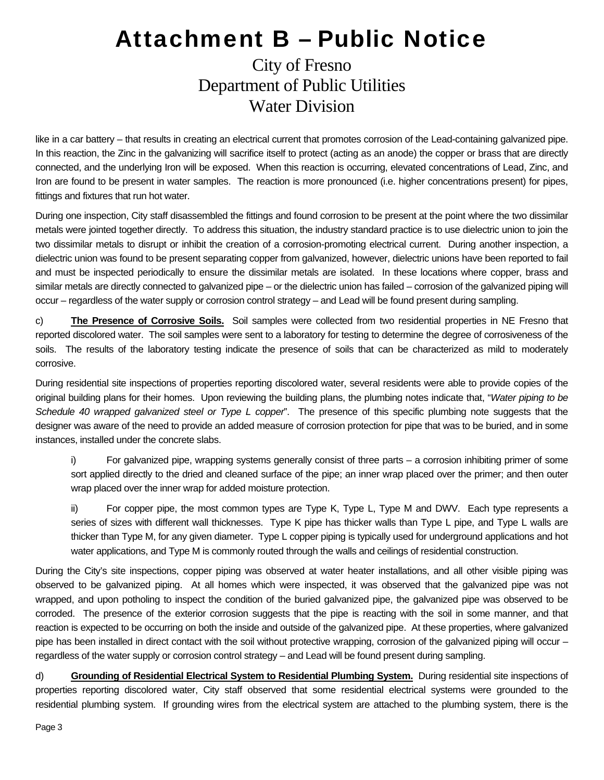## City of Fresno Department of Public Utilities Water Division

like in a car battery – that results in creating an electrical current that promotes corrosion of the Lead-containing galvanized pipe. In this reaction, the Zinc in the galvanizing will sacrifice itself to protect (acting as an anode) the copper or brass that are directly connected, and the underlying Iron will be exposed. When this reaction is occurring, elevated concentrations of Lead, Zinc, and Iron are found to be present in water samples. The reaction is more pronounced (i.e. higher concentrations present) for pipes, fittings and fixtures that run hot water.

During one inspection, City staff disassembled the fittings and found corrosion to be present at the point where the two dissimilar metals were jointed together directly. To address this situation, the industry standard practice is to use dielectric union to join the two dissimilar metals to disrupt or inhibit the creation of a corrosion-promoting electrical current. During another inspection, a dielectric union was found to be present separating copper from galvanized, however, dielectric unions have been reported to fail and must be inspected periodically to ensure the dissimilar metals are isolated. In these locations where copper, brass and similar metals are directly connected to galvanized pipe – or the dielectric union has failed – corrosion of the galvanized piping will occur – regardless of the water supply or corrosion control strategy – and Lead will be found present during sampling.

c) **The Presence of Corrosive Soils.** Soil samples were collected from two residential properties in NE Fresno that reported discolored water. The soil samples were sent to a laboratory for testing to determine the degree of corrosiveness of the soils. The results of the laboratory testing indicate the presence of soils that can be characterized as mild to moderately corrosive.

During residential site inspections of properties reporting discolored water, several residents were able to provide copies of the original building plans for their homes. Upon reviewing the building plans, the plumbing notes indicate that, "*Water piping to be Schedule 40 wrapped galvanized steel or Type L copper*". The presence of this specific plumbing note suggests that the designer was aware of the need to provide an added measure of corrosion protection for pipe that was to be buried, and in some instances, installed under the concrete slabs.

i) For galvanized pipe, wrapping systems generally consist of three parts – a corrosion inhibiting primer of some sort applied directly to the dried and cleaned surface of the pipe; an inner wrap placed over the primer; and then outer wrap placed over the inner wrap for added moisture protection.

ii) For copper pipe, the most common types are Type K, Type L, Type M and DWV. Each type represents a series of sizes with different wall thicknesses. Type K pipe has thicker walls than Type L pipe, and Type L walls are thicker than Type M, for any given diameter. Type L copper piping is typically used for underground applications and hot water applications, and Type M is commonly routed through the walls and ceilings of residential construction.

During the City's site inspections, copper piping was observed at water heater installations, and all other visible piping was observed to be galvanized piping. At all homes which were inspected, it was observed that the galvanized pipe was not wrapped, and upon potholing to inspect the condition of the buried galvanized pipe, the galvanized pipe was observed to be corroded. The presence of the exterior corrosion suggests that the pipe is reacting with the soil in some manner, and that reaction is expected to be occurring on both the inside and outside of the galvanized pipe. At these properties, where galvanized pipe has been installed in direct contact with the soil without protective wrapping, corrosion of the galvanized piping will occur – regardless of the water supply or corrosion control strategy – and Lead will be found present during sampling.

d) **Grounding of Residential Electrical System to Residential Plumbing System.** During residential site inspections of properties reporting discolored water, City staff observed that some residential electrical systems were grounded to the residential plumbing system. If grounding wires from the electrical system are attached to the plumbing system, there is the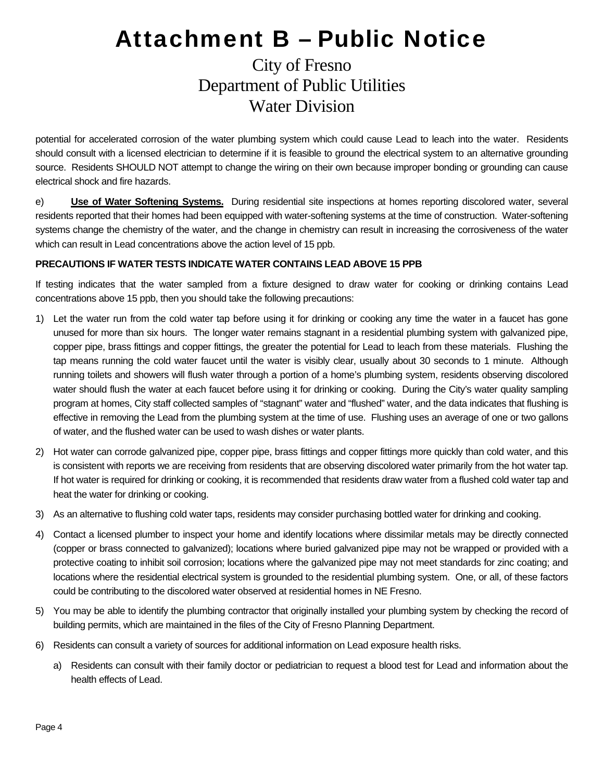## City of Fresno Department of Public Utilities Water Division

potential for accelerated corrosion of the water plumbing system which could cause Lead to leach into the water. Residents should consult with a licensed electrician to determine if it is feasible to ground the electrical system to an alternative grounding source. Residents SHOULD NOT attempt to change the wiring on their own because improper bonding or grounding can cause electrical shock and fire hazards.

e) **Use of Water Softening Systems.** During residential site inspections at homes reporting discolored water, several residents reported that their homes had been equipped with water-softening systems at the time of construction. Water-softening systems change the chemistry of the water, and the change in chemistry can result in increasing the corrosiveness of the water which can result in Lead concentrations above the action level of 15 ppb.

#### **PRECAUTIONS IF WATER TESTS INDICATE WATER CONTAINS LEAD ABOVE 15 PPB**

If testing indicates that the water sampled from a fixture designed to draw water for cooking or drinking contains Lead concentrations above 15 ppb, then you should take the following precautions:

- 1) Let the water run from the cold water tap before using it for drinking or cooking any time the water in a faucet has gone unused for more than six hours. The longer water remains stagnant in a residential plumbing system with galvanized pipe, copper pipe, brass fittings and copper fittings, the greater the potential for Lead to leach from these materials. Flushing the tap means running the cold water faucet until the water is visibly clear, usually about 30 seconds to 1 minute. Although running toilets and showers will flush water through a portion of a home's plumbing system, residents observing discolored water should flush the water at each faucet before using it for drinking or cooking. During the City's water quality sampling program at homes, City staff collected samples of "stagnant" water and "flushed" water, and the data indicates that flushing is effective in removing the Lead from the plumbing system at the time of use. Flushing uses an average of one or two gallons of water, and the flushed water can be used to wash dishes or water plants.
- 2) Hot water can corrode galvanized pipe, copper pipe, brass fittings and copper fittings more quickly than cold water, and this is consistent with reports we are receiving from residents that are observing discolored water primarily from the hot water tap. If hot water is required for drinking or cooking, it is recommended that residents draw water from a flushed cold water tap and heat the water for drinking or cooking.
- 3) As an alternative to flushing cold water taps, residents may consider purchasing bottled water for drinking and cooking.
- 4) Contact a licensed plumber to inspect your home and identify locations where dissimilar metals may be directly connected (copper or brass connected to galvanized); locations where buried galvanized pipe may not be wrapped or provided with a protective coating to inhibit soil corrosion; locations where the galvanized pipe may not meet standards for zinc coating; and locations where the residential electrical system is grounded to the residential plumbing system. One, or all, of these factors could be contributing to the discolored water observed at residential homes in NE Fresno.
- 5) You may be able to identify the plumbing contractor that originally installed your plumbing system by checking the record of building permits, which are maintained in the files of the City of Fresno Planning Department.
- 6) Residents can consult a variety of sources for additional information on Lead exposure health risks.
	- a) Residents can consult with their family doctor or pediatrician to request a blood test for Lead and information about the health effects of Lead.